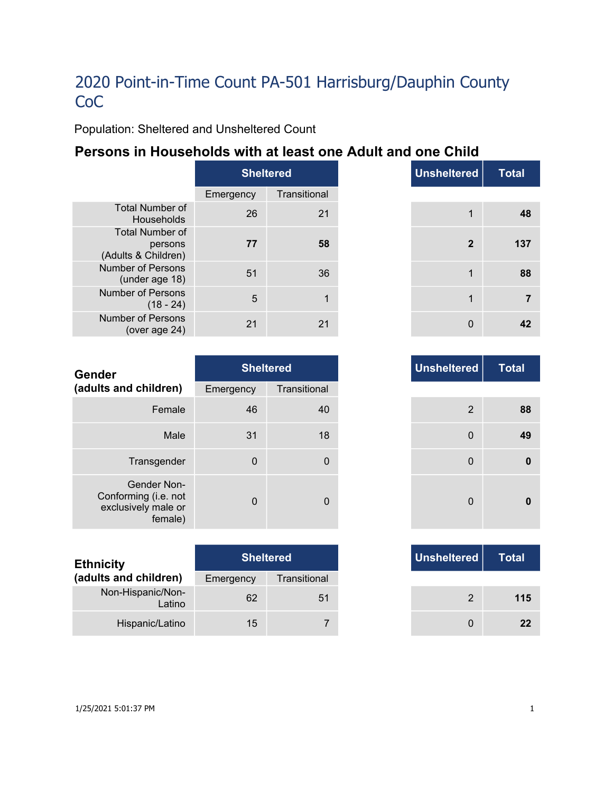Population: Sheltered and Unsheltered Count

## **Persons in Households with at least one Adult and one Child**

|                                                          | <b>Sheltered</b> |              |  |
|----------------------------------------------------------|------------------|--------------|--|
|                                                          | Emergency        | Transitional |  |
| <b>Total Number of</b><br>Households                     | 26               | 21           |  |
| <b>Total Number of</b><br>persons<br>(Adults & Children) | 77               | 58           |  |
| Number of Persons<br>(under age 18)                      | 51               | 36           |  |
| <b>Number of Persons</b><br>$(18 - 24)$                  | 5                |              |  |
| Number of Persons<br>(over age 24)                       | 21               | 21           |  |

|     | <b>Sheltered</b> |
|-----|------------------|
| าcy | Transitional     |
| 26  | 21               |
| 77  | 58               |
| 51  | 36               |
| 5   | 1                |
| 21  | 21               |

| Gender                                                                |             | <b>Sheltered</b> | <b>Unsheltered</b> |
|-----------------------------------------------------------------------|-------------|------------------|--------------------|
| (adults and children)                                                 | Emergency   | Transitional     |                    |
| Female                                                                | 46          | 40               | 2                  |
| Male                                                                  | 31          | 18               | $\Omega$           |
| Transgender                                                           | $\mathbf 0$ | 0                | $\mathbf 0$        |
| Gender Non-<br>Conforming (i.e. not<br>exclusively male or<br>female) | $\Omega$    | 0                | $\Omega$           |

| <b>Ethnicity</b>            |           | <b>Sheltered</b> | Unsheltered |
|-----------------------------|-----------|------------------|-------------|
| (adults and children)       | Emergency | Transitional     |             |
| Non-Hispanic/Non-<br>Latino | 62        | 51               | 2           |
| Hispanic/Latino             | 15        |                  |             |

| <b>Total</b> | <b>Unsheltered</b> | <b>Sheltered</b> |          |
|--------------|--------------------|------------------|----------|
|              |                    | Transitional     | าcy      |
| 88           | $\overline{2}$     | 40               | 46       |
| 49           | 0                  | 18               | 31       |
| 0            | $\mathbf 0$        | 0                | 0        |
|              | $\mathbf 0$        | 0                | $\Omega$ |

|     | <b>Sheltered</b> |
|-----|------------------|
| ٦CV | Transitional     |
| 62  | 51               |
| 15  |                  |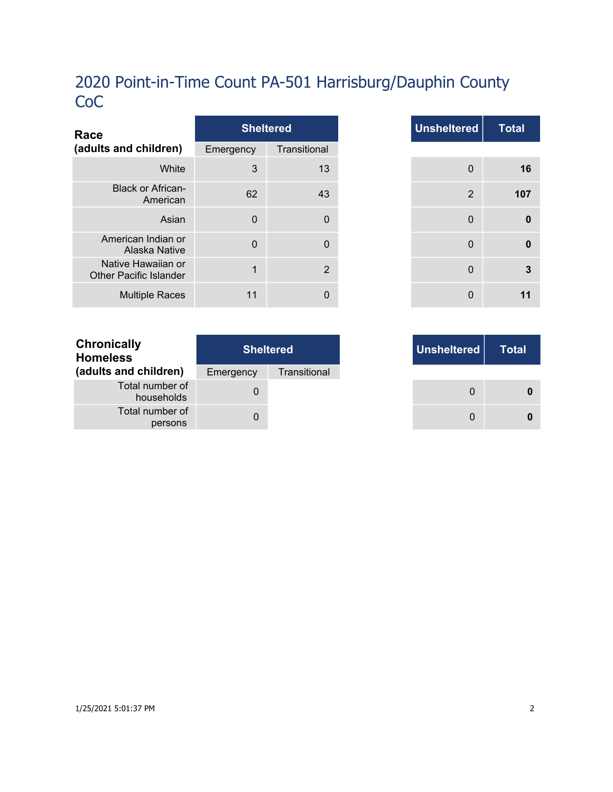| Race                                                |             | <b>Sheltered</b> |
|-----------------------------------------------------|-------------|------------------|
| (adults and children)                               | Emergency   | Transitional     |
| White                                               | 3           | 13               |
| <b>Black or African-</b><br>American                | 62          | 43               |
| Asian                                               | $\mathbf 0$ | $\Omega$         |
| American Indian or<br>Alaska Native                 | $\Omega$    | $\Omega$         |
| Native Hawaiian or<br><b>Other Pacific Islander</b> | 1           | $\overline{2}$   |
| <b>Multiple Races</b>                               | 11          | 0                |

| <b>Total</b> | <b>Unsheltered</b> |              | <b>Sheltered</b> |              |
|--------------|--------------------|--------------|------------------|--------------|
|              |                    | Transitional |                  | าcy          |
|              | $\mathbf 0$        | 13           |                  | $\mathbf{3}$ |
|              | 2                  | 43           |                  | 62           |
|              | $\mathbf 0$        | 0            |                  | $\mathbf 0$  |
|              | $\mathbf{0}$       | 0            |                  | $\mathbf 0$  |
|              | $\mathbf 0$        | 2            |                  | $\mathbf{1}$ |
|              | 0                  | 0            |                  | 11           |

|     | <b>Sheltered</b> |
|-----|------------------|
| ٦cγ | Transitional     |
| 0   |                  |
| 0   |                  |

| <b>Chronically</b><br><b>Homeless</b> | <b>Sheltered</b> |              |  |
|---------------------------------------|------------------|--------------|--|
| (adults and children)                 | Emergency        | Transitional |  |
| Total number of<br>households         | $\mathbf{O}$     |              |  |
| Total number of<br>persons            |                  |              |  |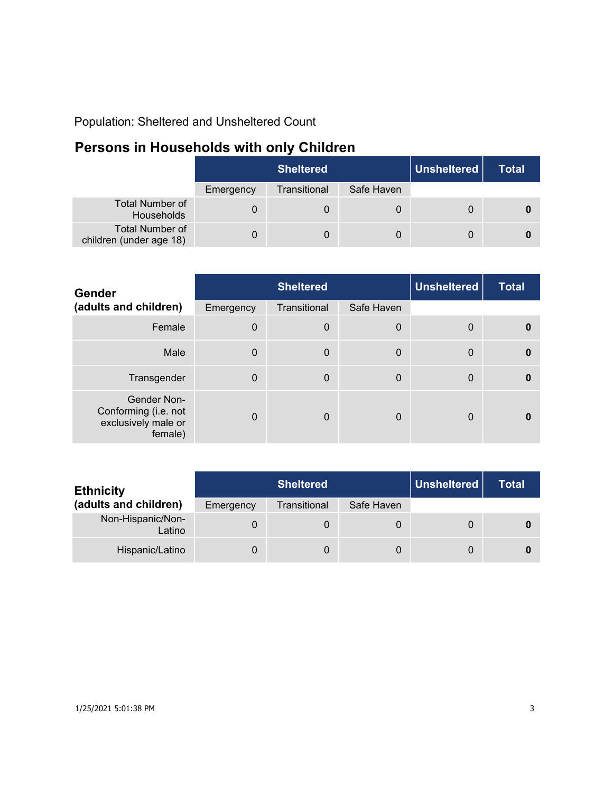Population: Sheltered and Unsheltered Count

## **Persons in Households with only Children**

|                                                   | <b>Sheltered</b> |              |            | Unsheltered | Total |
|---------------------------------------------------|------------------|--------------|------------|-------------|-------|
|                                                   | Emergency        | Transitional | Safe Haven |             |       |
| <b>Total Number of</b><br>Households              |                  |              |            |             |       |
| <b>Total Number of</b><br>children (under age 18) |                  | 0            | 0          |             |       |

| Gender                                                                |           | <b>Sheltered</b> |             | <b>Unsheltered</b> | <b>Total</b> |
|-----------------------------------------------------------------------|-----------|------------------|-------------|--------------------|--------------|
| (adults and children)                                                 | Emergency | Transitional     | Safe Haven  |                    |              |
| Female                                                                | $\Omega$  | $\boldsymbol{0}$ | 0           | 0                  | $\mathbf{0}$ |
| Male                                                                  | $\Omega$  | $\mathbf 0$      | $\mathbf 0$ | $\mathbf{0}$       | $\mathbf{0}$ |
| Transgender                                                           | $\Omega$  | $\mathbf 0$      | 0           | 0                  | $\mathbf{0}$ |
| Gender Non-<br>Conforming (i.e. not<br>exclusively male or<br>female) | $\Omega$  | $\Omega$         | 0           | 0                  | n            |

| <b>Ethnicity</b>            | <b>Sheltered</b> |              |            | Unsheltered | Total |
|-----------------------------|------------------|--------------|------------|-------------|-------|
| (adults and children)       | Emergency        | Transitional | Safe Haven |             |       |
| Non-Hispanic/Non-<br>Latino |                  | 0            | 0          |             |       |
| Hispanic/Latino             |                  | 0            | 0          |             |       |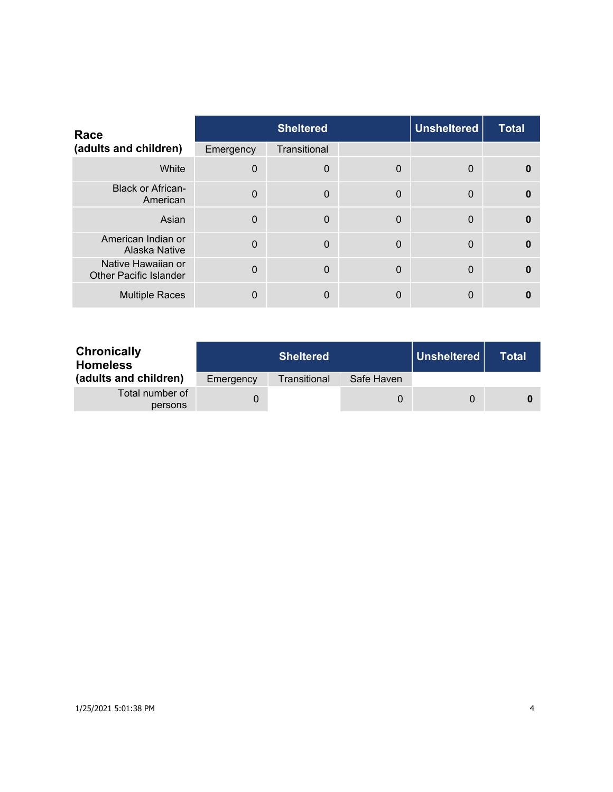| Race                                                |           | <b>Sheltered</b> |             | <b>Unsheltered</b> | <b>Total</b> |
|-----------------------------------------------------|-----------|------------------|-------------|--------------------|--------------|
| (adults and children)                               | Emergency | Transitional     |             |                    |              |
| White                                               | $\Omega$  | $\mathbf 0$      | 0           | 0                  | 0            |
| <b>Black or African-</b><br>American                | $\Omega$  | $\mathbf 0$      | $\mathbf 0$ | $\Omega$           | $\Omega$     |
| Asian                                               | $\Omega$  | $\overline{0}$   | $\Omega$    | $\Omega$           | $\bf{0}$     |
| American Indian or<br>Alaska Native                 | $\Omega$  | $\mathbf 0$      | $\mathbf 0$ | $\Omega$           | $\Omega$     |
| Native Hawaiian or<br><b>Other Pacific Islander</b> | $\Omega$  | $\Omega$         | $\Omega$    | $\Omega$           | $\Omega$     |
| <b>Multiple Races</b>                               | 0         | $\mathbf{0}$     | 0           | 0                  |              |

| <b>Chronically</b><br><b>Homeless</b> |           | <b>Sheltered</b> |            | Unsheltered | Total |
|---------------------------------------|-----------|------------------|------------|-------------|-------|
| (adults and children)                 | Emergency | Transitional     | Safe Haven |             |       |
| Total number of<br>persons            |           |                  | 0          | $\Omega$    |       |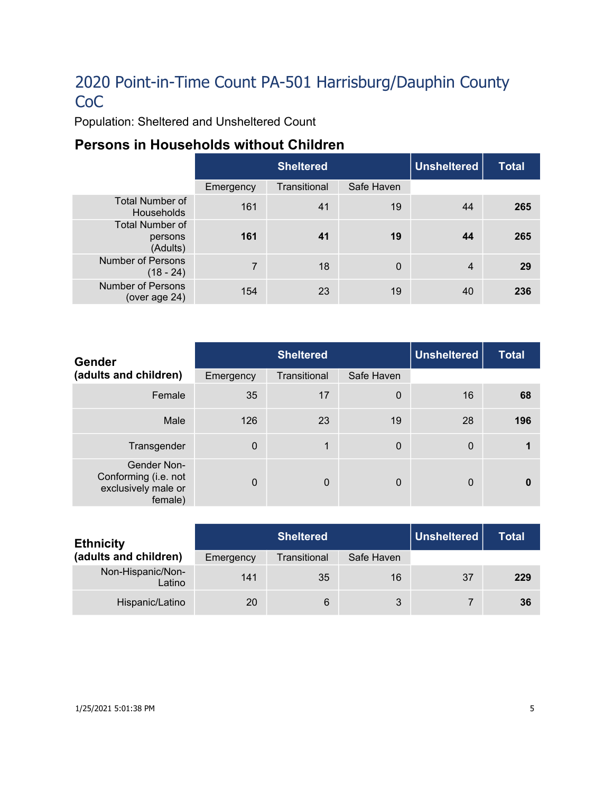Population: Sheltered and Unsheltered Count

## **Persons in Households without Children**

|                                               | <b>Sheltered</b> |              |            | Unsheltered | <b>Total</b> |
|-----------------------------------------------|------------------|--------------|------------|-------------|--------------|
|                                               | Emergency        | Transitional | Safe Haven |             |              |
| <b>Total Number of</b><br><b>Households</b>   | 161              | 41           | 19         | 44          | 265          |
| <b>Total Number of</b><br>persons<br>(Adults) | 161              | 41           | 19         | 44          | 265          |
| <b>Number of Persons</b><br>$(18 - 24)$       | $\overline{7}$   | 18           | $\Omega$   | 4           | 29           |
| <b>Number of Persons</b><br>(over age 24)     | 154              | 23           | 19         | 40          | 236          |

| Gender                                                                | <b>Sheltered</b> |              |             | <b>Unsheltered</b> | <b>Total</b> |
|-----------------------------------------------------------------------|------------------|--------------|-------------|--------------------|--------------|
| (adults and children)                                                 | Emergency        | Transitional | Safe Haven  |                    |              |
| Female                                                                | 35               | 17           | $\mathbf 0$ | 16                 | 68           |
| Male                                                                  | 126              | 23           | 19          | 28                 | 196          |
| Transgender                                                           | $\overline{0}$   | 1            | $\mathbf 0$ | $\mathbf 0$        |              |
| Gender Non-<br>Conforming (i.e. not<br>exclusively male or<br>female) | $\mathbf{0}$     | $\mathbf 0$  | $\Omega$    | $\mathbf{0}$       | $\bf{0}$     |

| <b>Ethnicity</b>            | <b>Sheltered</b> |              |            | <b>Unsheltered</b> | Total |
|-----------------------------|------------------|--------------|------------|--------------------|-------|
| (adults and children)       | Emergency        | Transitional | Safe Haven |                    |       |
| Non-Hispanic/Non-<br>Latino | 141              | 35           | 16         | 37                 | 229   |
| Hispanic/Latino             | 20               | 6            | 3          |                    | 36    |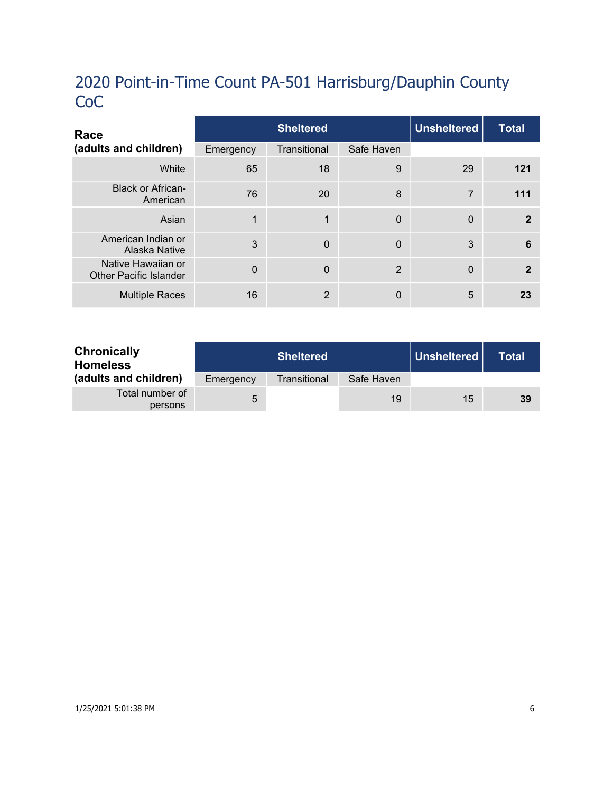| Race                                                |           | <b>Sheltered</b> |             |              | <b>Total</b> |
|-----------------------------------------------------|-----------|------------------|-------------|--------------|--------------|
| (adults and children)                               | Emergency | Transitional     | Safe Haven  |              |              |
| White                                               | 65        | 18               | 9           | 29           | 121          |
| <b>Black or African-</b><br>American                | 76        | 20               | 8           | 7            | 111          |
| Asian                                               | 1         | 1                | $\mathbf 0$ | $\mathbf{0}$ | $\mathbf{2}$ |
| American Indian or<br>Alaska Native                 | 3         | $\Omega$         | $\Omega$    | 3            | 6            |
| Native Hawaiian or<br><b>Other Pacific Islander</b> | $\Omega$  | $\Omega$         | 2           | $\mathbf{0}$ | $\mathbf{2}$ |
| <b>Multiple Races</b>                               | 16        | 2                | 0           | 5            | 23           |

| <b>Chronically</b><br><b>Homeless</b> |           | <b>Sheltered</b> |            | Unsheltered | <b>Total</b> |
|---------------------------------------|-----------|------------------|------------|-------------|--------------|
| (adults and children)                 | Emergency | Transitional     | Safe Haven |             |              |
| Total number of<br>persons            | 5         |                  | 19         | 15          | 39           |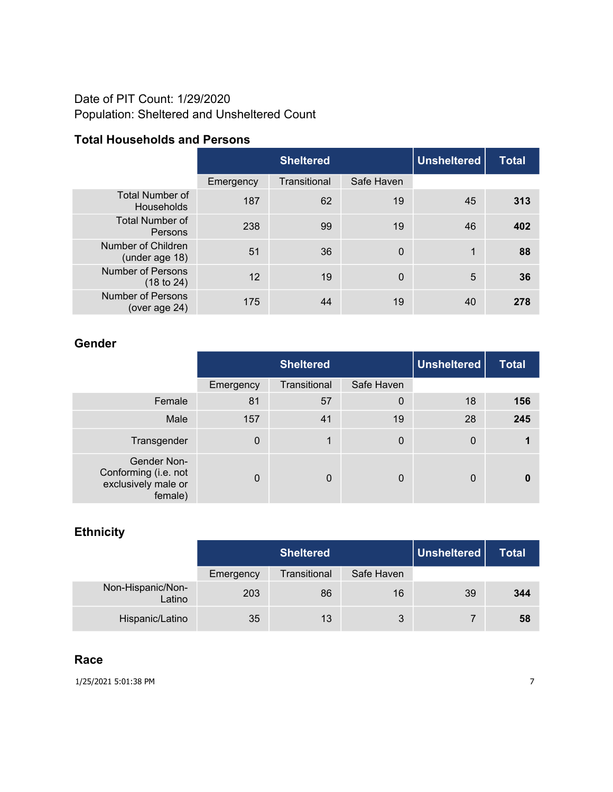## Date of PIT Count: 1/29/2020 Population: Sheltered and Unsheltered Count

### **Total Households and Persons**

|                                             | <b>Sheltered</b> |              |            | <b>Unsheltered</b> | <b>Total</b> |
|---------------------------------------------|------------------|--------------|------------|--------------------|--------------|
|                                             | Emergency        | Transitional | Safe Haven |                    |              |
| <b>Total Number of</b><br><b>Households</b> | 187              | 62           | 19         | 45                 | 313          |
| <b>Total Number of</b><br>Persons           | 238              | 99           | 19         | 46                 | 402          |
| Number of Children<br>(under age 18)        | 51               | 36           | 0          | 1                  | 88           |
| <b>Number of Persons</b><br>(18 to 24)      | 12               | 19           | 0          | 5                  | 36           |
| <b>Number of Persons</b><br>(over age 24)   | 175              | 44           | 19         | 40                 | 278          |

### **Gender**

|                                                                       | <b>Sheltered</b> |              |                  | <b>Unsheltered</b> | <b>Total</b> |
|-----------------------------------------------------------------------|------------------|--------------|------------------|--------------------|--------------|
|                                                                       | Emergency        | Transitional | Safe Haven       |                    |              |
| Female                                                                | 81               | 57           | $\boldsymbol{0}$ | 18                 | 156          |
| Male                                                                  | 157              | 41           | 19               | 28                 | 245          |
| Transgender                                                           | 0                | 1            | $\mathbf 0$      | $\boldsymbol{0}$   |              |
| Gender Non-<br>Conforming (i.e. not<br>exclusively male or<br>female) | $\Omega$         | $\mathbf 0$  | 0                | 0                  |              |

## **Ethnicity**

|                             | <b>Sheltered</b> |              |            | Unsheltered | Total |
|-----------------------------|------------------|--------------|------------|-------------|-------|
|                             | Emergency        | Transitional | Safe Haven |             |       |
| Non-Hispanic/Non-<br>Latino | 203              | 86           | 16         | 39          | 344   |
| Hispanic/Latino             | 35               | 13           | 3          |             | 58    |

### **Race**

1/25/2021 5:01:38 PM 7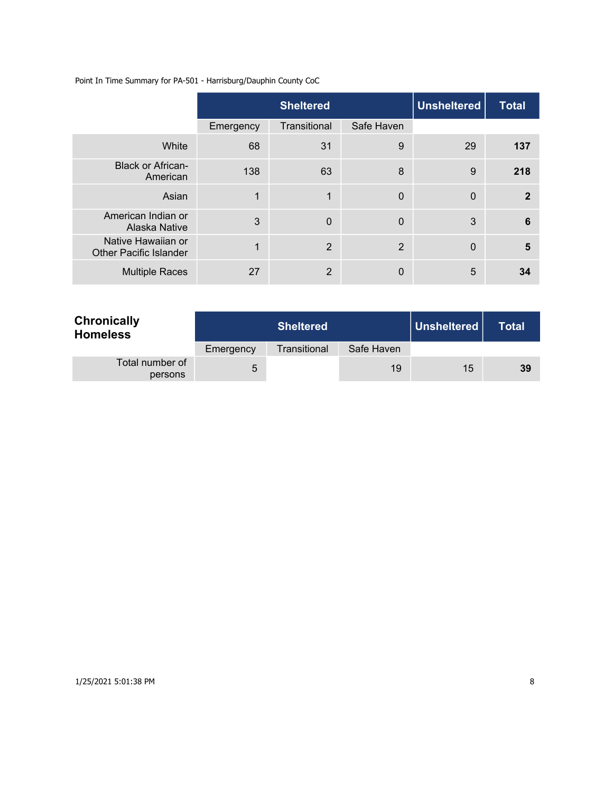Point In Time Summary for PA-501 - Harrisburg/Dauphin County CoC

|                                                     |           | <b>Unsheltered</b><br><b>Sheltered</b> |                |             | <b>Total</b>   |
|-----------------------------------------------------|-----------|----------------------------------------|----------------|-------------|----------------|
|                                                     | Emergency | Transitional                           | Safe Haven     |             |                |
| White                                               | 68        | 31                                     | 9              | 29          | 137            |
| <b>Black or African-</b><br>American                | 138       | 63                                     | 8              | 9           | 218            |
| Asian                                               | 1         | 1                                      | $\mathbf 0$    | $\mathbf 0$ | $\overline{2}$ |
| American Indian or<br>Alaska Native                 | 3         | $\overline{0}$                         | $\overline{0}$ | 3           | 6              |
| Native Hawaiian or<br><b>Other Pacific Islander</b> | 1         | $\overline{2}$                         | 2              | $\mathbf 0$ | 5              |
| <b>Multiple Races</b>                               | 27        | $\overline{2}$                         | $\Omega$       | 5           | 34             |

| <b>Chronically</b><br><b>Homeless</b> | <b>Sheltered</b> |              |            | Unsheltered | <b>Total</b> |
|---------------------------------------|------------------|--------------|------------|-------------|--------------|
|                                       | Emergency        | Transitional | Safe Haven |             |              |
| Total number of<br>persons            | 5                |              | 19         | 15          | 39           |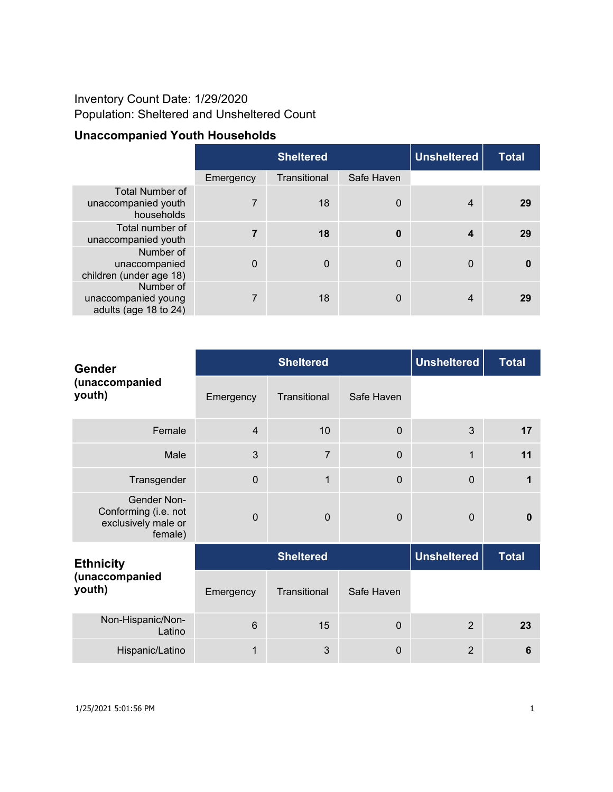## Inventory Count Date: 1/29/2020 Population: Sheltered and Unsheltered Count

## **Unaccompanied Youth Households**

|                                                             | <b>Sheltered</b> |              |                | <b>Unsheltered</b> | <b>Total</b> |
|-------------------------------------------------------------|------------------|--------------|----------------|--------------------|--------------|
|                                                             | Emergency        | Transitional | Safe Haven     |                    |              |
| <b>Total Number of</b><br>unaccompanied youth<br>households | 7                | 18           | $\overline{0}$ | $\overline{4}$     | 29           |
| Total number of<br>unaccompanied youth                      | 7                | 18           | $\bf{0}$       | 4                  | 29           |
| Number of<br>unaccompanied<br>children (under age 18)       | $\Omega$         | $\mathbf 0$  | $\Omega$       | $\mathbf{0}$       | 0            |
| Number of<br>unaccompanied young<br>adults (age 18 to 24)   | 7                | 18           | $\Omega$       | 4                  | 29           |

| <b>Gender</b>                                                                | <b>Sheltered</b> |                  |             | <b>Unsheltered</b> | <b>Total</b> |
|------------------------------------------------------------------------------|------------------|------------------|-------------|--------------------|--------------|
| (unaccompanied<br>youth)                                                     | Emergency        | Transitional     | Safe Haven  |                    |              |
| Female                                                                       | $\overline{4}$   | 10               | $\Omega$    | 3                  | 17           |
| Male                                                                         | 3                | $\overline{7}$   | $\Omega$    | $\mathbf 1$        | 11           |
| Transgender                                                                  | $\Omega$         | 1                | $\Omega$    | $\Omega$           |              |
| <b>Gender Non-</b><br>Conforming (i.e. not<br>exclusively male or<br>female) | $\Omega$         | $\Omega$         | $\Omega$    | $\Omega$           | $\mathbf{0}$ |
| <b>Ethnicity</b>                                                             |                  | <b>Sheltered</b> |             | <b>Unsheltered</b> | <b>Total</b> |
| (unaccompanied<br>youth)                                                     | Emergency        | Transitional     | Safe Haven  |                    |              |
| Non-Hispanic/Non-<br>Latino                                                  | 6                | 15               | $\Omega$    | $\overline{2}$     | 23           |
| Hispanic/Latino                                                              | 1                | 3                | $\mathbf 0$ | $\overline{2}$     | 6            |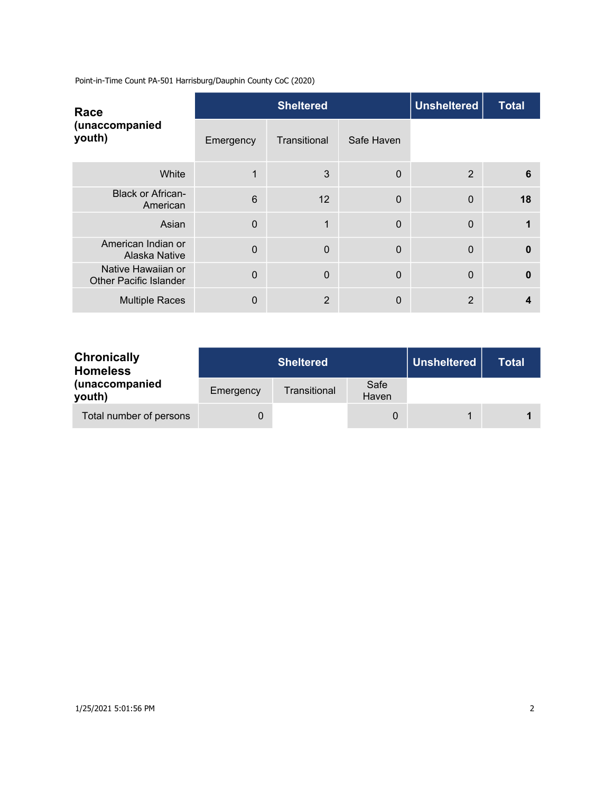| Race                                                |           | <b>Sheltered</b> |              |                | <b>Total</b> |
|-----------------------------------------------------|-----------|------------------|--------------|----------------|--------------|
| (unaccompanied<br>youth)                            | Emergency | Transitional     | Safe Haven   |                |              |
| White                                               |           | 3                | $\mathbf 0$  | 2              | 6            |
| <b>Black or African-</b><br>American                | 6         | 12               | $\mathbf{0}$ | $\overline{0}$ | 18           |
| Asian                                               | $\Omega$  | 1                | 0            | $\Omega$       |              |
| American Indian or<br>Alaska Native                 | $\Omega$  | $\mathbf 0$      | $\mathbf{0}$ | $\mathbf{0}$   | $\mathbf{0}$ |
| Native Hawaiian or<br><b>Other Pacific Islander</b> | $\Omega$  | $\overline{0}$   | $\mathbf{0}$ | $\overline{0}$ | $\mathbf{0}$ |
| <b>Multiple Races</b>                               | 0         | $\overline{2}$   | 0            | $\overline{2}$ | 4            |

| <b>Chronically</b><br><b>Homeless</b> |           | <b>Sheltered</b> |               |  | <b>Total</b> |
|---------------------------------------|-----------|------------------|---------------|--|--------------|
| (unaccompanied<br>youth)              | Emergency | Transitional     | Safe<br>Haven |  |              |
| Total number of persons               | 0         |                  |               |  |              |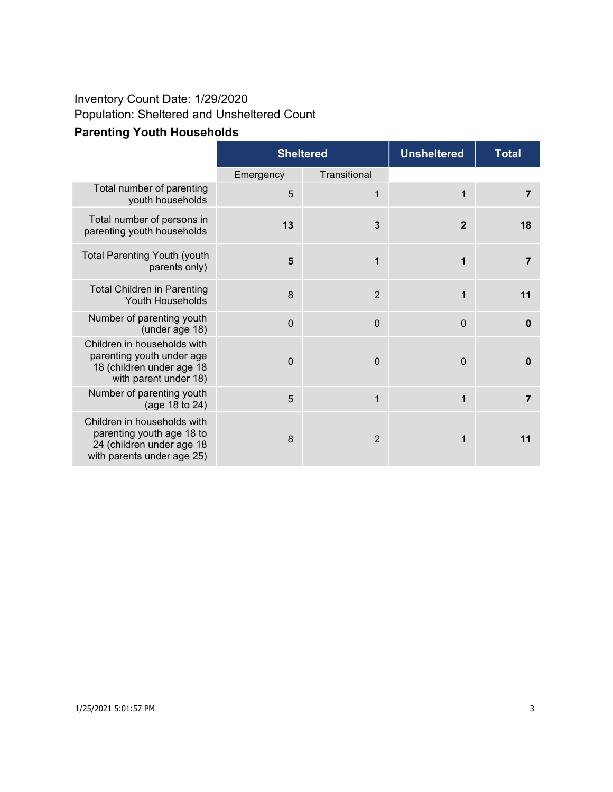### **Parenting Youth Households** Inventory Count Date: 1/29/2020 Population: Sheltered and Unsheltered Count

| <b>Faltilling Touth Housenolus</b> |                  |     |
|------------------------------------|------------------|-----|
|                                    | <b>Sheltered</b> |     |
|                                    | Emaranou         | Tr. |

|                                                                                                                     |             | <b>Sheltered</b> |                | <b>Total</b>   |
|---------------------------------------------------------------------------------------------------------------------|-------------|------------------|----------------|----------------|
|                                                                                                                     | Emergency   | Transitional     |                |                |
| Total number of parenting<br>youth households                                                                       | 5           | 1                | 1              | $\overline{7}$ |
| Total number of persons in<br>parenting youth households                                                            | 13          | 3                | $\overline{2}$ | 18             |
| <b>Total Parenting Youth (youth</b><br>parents only)                                                                | 5           | 1                | 1              | 7              |
| <b>Total Children in Parenting</b><br>Youth Households                                                              | 8           | $\overline{2}$   | 1              | 11             |
| Number of parenting youth<br>(under age 18)                                                                         | $\mathbf 0$ | $\overline{0}$   | $\overline{0}$ | 0              |
| Children in households with<br>parenting youth under age<br>18 (children under age 18<br>with parent under 18)      | $\mathbf 0$ | $\overline{0}$   | $\overline{0}$ | O              |
| Number of parenting youth<br>(age 18 to 24)                                                                         | 5           | 1                | 1              | 7              |
| Children in households with<br>parenting youth age 18 to<br>24 (children under age 18<br>with parents under age 25) | 8           | $\overline{2}$   | 1              | 11             |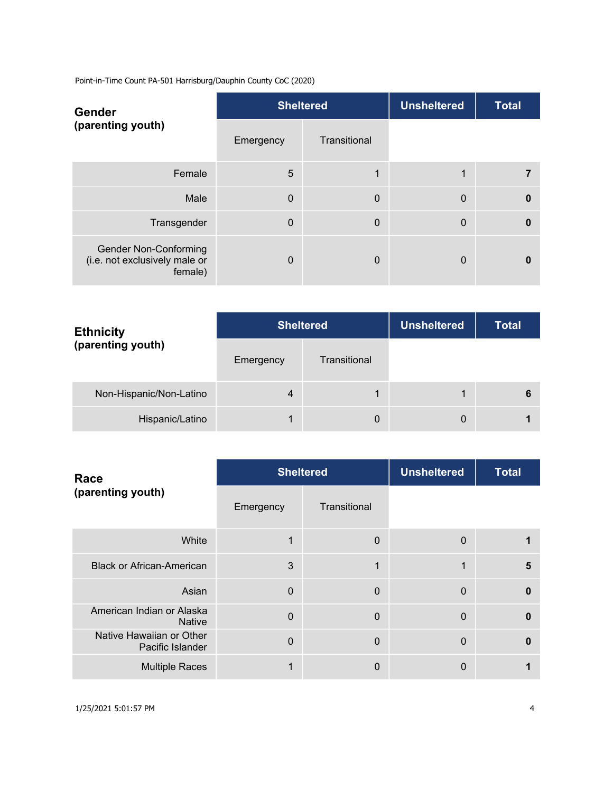| <b>Gender</b>                                                            |           | <b>Sheltered</b> | <b>Unsheltered</b> | <b>Total</b> |
|--------------------------------------------------------------------------|-----------|------------------|--------------------|--------------|
| (parenting youth)                                                        | Emergency | Transitional     |                    |              |
| Female                                                                   | 5         | 1                | 1                  |              |
| Male                                                                     | $\Omega$  | $\mathbf 0$      | $\mathbf 0$        | $\mathbf{0}$ |
| Transgender                                                              | $\Omega$  | $\Omega$         | $\mathbf 0$        | $\mathbf{0}$ |
| <b>Gender Non-Conforming</b><br>(i.e. not exclusively male or<br>female) | $\Omega$  | $\mathbf 0$      | 0                  | 0            |

| <b>Ethnicity</b>        | <b>Sheltered</b> |              | <b>Unsheltered</b> | <b>Total</b> |
|-------------------------|------------------|--------------|--------------------|--------------|
| (parenting youth)       | Emergency        | Transitional |                    |              |
| Non-Hispanic/Non-Latino | 4                | 1            |                    | 6            |
| Hispanic/Latino         |                  | 0            | 0                  |              |

| Race                                         |             | <b>Sheltered</b> | <b>Unsheltered</b> | <b>Total</b> |
|----------------------------------------------|-------------|------------------|--------------------|--------------|
| (parenting youth)                            | Emergency   | Transitional     |                    |              |
| White                                        | $\mathbf 1$ | $\mathbf 0$      | $\mathbf 0$        |              |
| <b>Black or African-American</b>             | 3           | 1                | 1                  | 5            |
| Asian                                        | $\Omega$    | $\Omega$         | $\mathbf 0$        | $\Omega$     |
| American Indian or Alaska<br><b>Native</b>   | $\Omega$    | $\Omega$         | $\mathbf 0$        | $\Omega$     |
| Native Hawaiian or Other<br>Pacific Islander | $\Omega$    | $\overline{0}$   | $\overline{0}$     | $\Omega$     |
| <b>Multiple Races</b>                        |             | 0                | 0                  |              |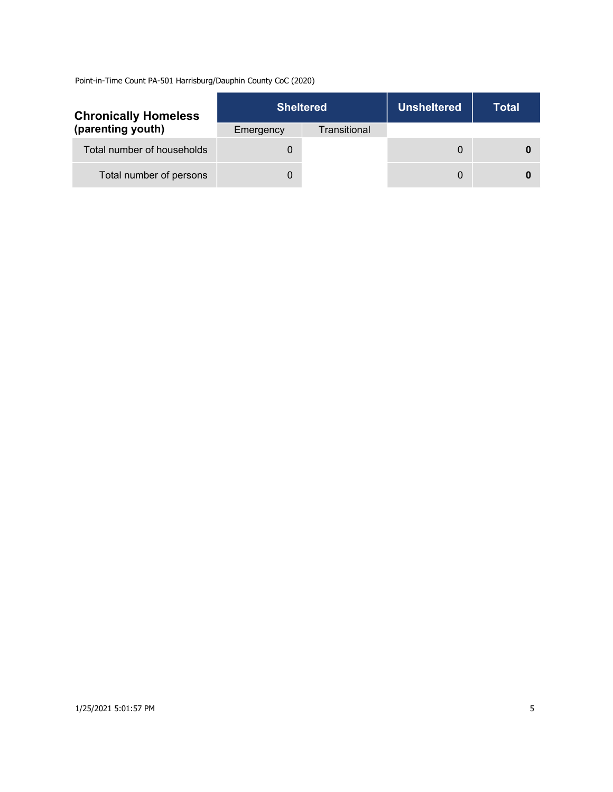| <b>Chronically Homeless</b> |           | <b>Sheltered</b> | <b>Unsheltered</b> | Total |
|-----------------------------|-----------|------------------|--------------------|-------|
| (parenting youth)           | Emergency | Transitional     |                    |       |
| Total number of households  |           |                  | 0                  |       |
| Total number of persons     |           |                  | 0                  |       |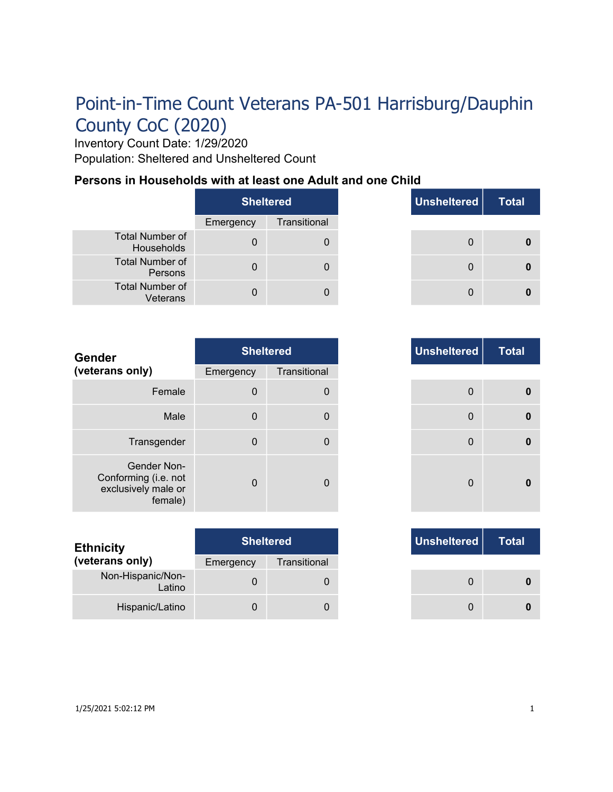Inventory Count Date: 1/29/2020 Population: Sheltered and Unsheltered Count

### **Persons in Households with at least one Adult and one Child**

|                                      | <b>Sheltered</b> |              |
|--------------------------------------|------------------|--------------|
|                                      | Emergency        | Transitional |
| <b>Total Number of</b><br>Households |                  |              |
| <b>Total Number of</b><br>Persons    |                  |              |
| <b>Total Number of</b><br>Veterans   |                  |              |

|          | <b>Sheltered</b> | Unsheltered | <b>Total</b> |
|----------|------------------|-------------|--------------|
| ٦cγ      | Transitional     |             |              |
| $\Omega$ | 0                | 0           |              |
| $\Omega$ | 0                | $\Omega$    |              |
| n        |                  | 0           |              |

| <b>Gender</b>                                                         |             | <b>Sheltered</b> |
|-----------------------------------------------------------------------|-------------|------------------|
| (veterans only)                                                       | Emergency   | Transitional     |
| Female                                                                | $\mathbf 0$ | $\Omega$         |
| Male                                                                  | $\mathbf 0$ | 0                |
| Transgender                                                           | $\mathbf 0$ | 0                |
| Gender Non-<br>Conforming (i.e. not<br>exclusively male or<br>female) | $\Omega$    | $\Omega$         |

| <b>Ethnicity</b>            | <b>Sheltered</b> |              |
|-----------------------------|------------------|--------------|
| (veterans only)             | Emergency        | Transitional |
| Non-Hispanic/Non-<br>Latino |                  |              |
| Hispanic/Latino             |                  |              |

| <b>Sheltered</b>         | Unsheltered  |
|--------------------------|--------------|
| Transitional<br>าcy      |              |
| $\mathbf{0}$<br>$\Omega$ | 0            |
| $\Omega$<br>0            | $\mathbf{0}$ |
| $\Omega$<br>$\Omega$     | $\Omega$     |
| O<br>$\mathbf{0}$        | $\mathbf{0}$ |

|     | <b>Sheltered</b> |
|-----|------------------|
| าcy | Transitional     |
| 0   |                  |
|     |                  |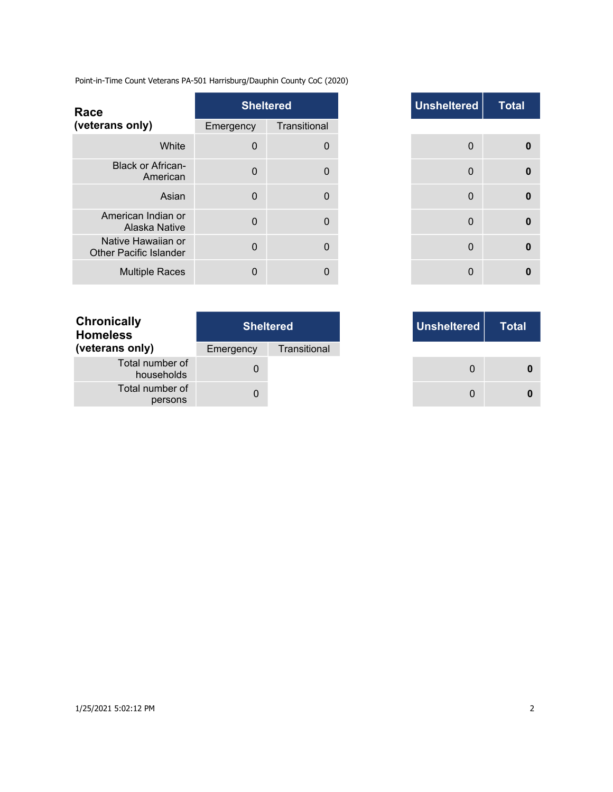| Race                                                |              | <b>Sheltered</b> |
|-----------------------------------------------------|--------------|------------------|
| (veterans only)                                     | Emergency    | Transitional     |
| White                                               | 0            | 0                |
| <b>Black or African-</b><br>American                | $\mathbf{0}$ | 0                |
| Asian                                               | $\mathbf{0}$ | $\Omega$         |
| American Indian or<br>Alaska Native                 | $\Omega$     | $\Omega$         |
| Native Hawaiian or<br><b>Other Pacific Islander</b> | $\Omega$     | $\Omega$         |
| <b>Multiple Races</b>                               | $\Omega$     | 0                |

| <b>Chronically</b><br><b>Homeless</b> | <b>Sheltered</b> |              |  |  |
|---------------------------------------|------------------|--------------|--|--|
| (veterans only)                       | Emergency        | Transitional |  |  |
| Total number of<br>households         |                  |              |  |  |
| Total number of<br>persons            |                  |              |  |  |

|                | <b>Sheltered</b> |
|----------------|------------------|
| าcy            | Transitional     |
| $\mathbf 0$    | $\mathbf 0$      |
| $\overline{0}$ | $\Omega$         |
| $\overline{0}$ | 0                |
| $\Omega$       | $\mathbf{0}$     |
| $\Omega$       | $\Omega$         |
| 0              | $\Omega$         |

|     | <b>Sheltered</b> |
|-----|------------------|
| ٦cγ | Transitional     |
| 0   |                  |
| 0   |                  |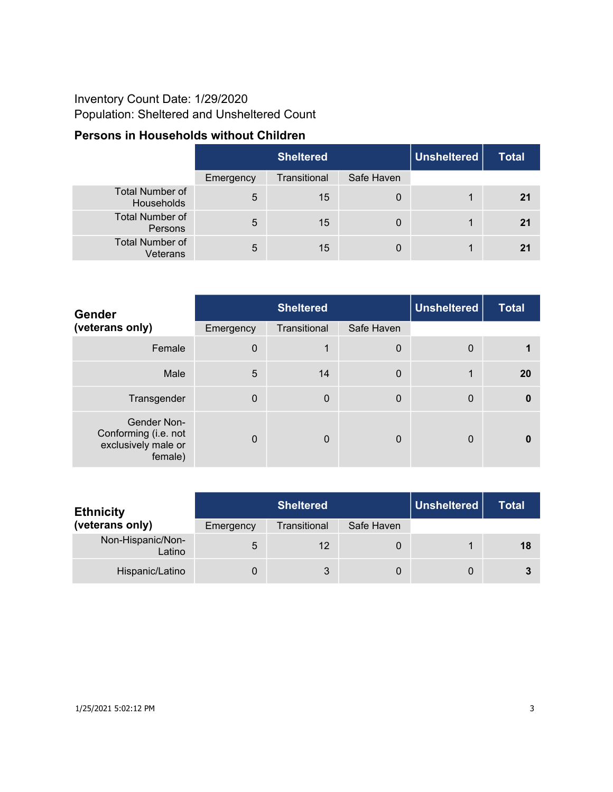## Inventory Count Date: 1/29/2020 Population: Sheltered and Unsheltered Count

## **Persons in Households without Children**

|                                      | Sheltered |              |            | Unsheltered | <b>Total</b> |
|--------------------------------------|-----------|--------------|------------|-------------|--------------|
|                                      | Emergency | Transitional | Safe Haven |             |              |
| <b>Total Number of</b><br>Households | 5         | 15           | 0          |             | 21           |
| <b>Total Number of</b><br>Persons    | 5         | 15           | 0          |             | 21           |
| <b>Total Number of</b><br>Veterans   | 5         | 15           | 0          |             | 21           |

| <b>Gender</b>                                                         | <b>Sheltered</b> |              |             | <b>Unsheltered</b> | <b>Total</b> |
|-----------------------------------------------------------------------|------------------|--------------|-------------|--------------------|--------------|
| (veterans only)                                                       | Emergency        | Transitional | Safe Haven  |                    |              |
| Female                                                                | $\mathbf 0$      | 1            | $\mathbf 0$ | $\mathbf 0$        |              |
| Male                                                                  | 5                | 14           | $\mathbf 0$ | 1                  | <b>20</b>    |
| Transgender                                                           | $\Omega$         | $\mathbf 0$  | $\mathbf 0$ | $\mathbf 0$        | $\bf{0}$     |
| Gender Non-<br>Conforming (i.e. not<br>exclusively male or<br>female) | $\Omega$         | $\mathbf 0$  | $\Omega$    | $\Omega$           |              |

| <b>Ethnicity</b>            | <b>Sheltered</b> |              |            | Unsheltered | <b>Total</b> |
|-----------------------------|------------------|--------------|------------|-------------|--------------|
| (veterans only)             | Emergency        | Transitional | Safe Haven |             |              |
| Non-Hispanic/Non-<br>Latino | 5                | 12           | 0          |             | 18           |
| Hispanic/Latino             |                  | 3            | 0          | 0           |              |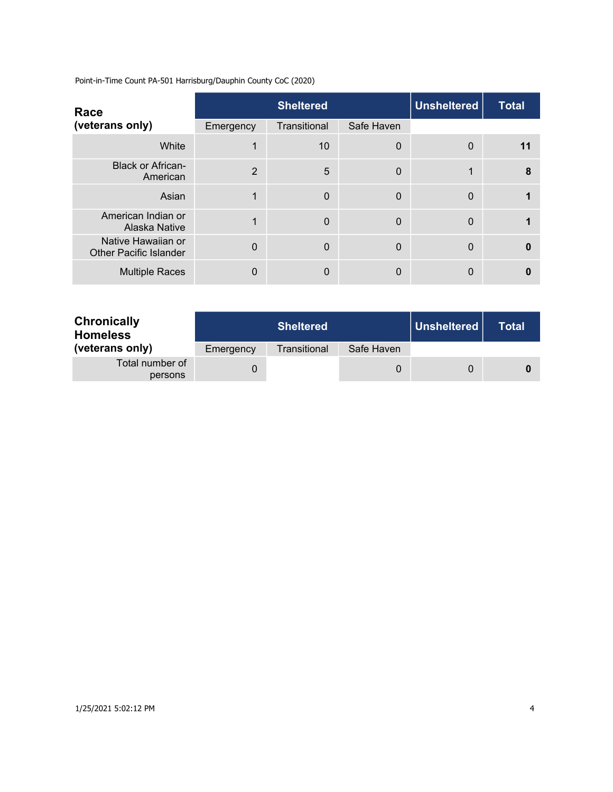| Race                                                |                | <b>Sheltered</b> |            | <b>Unsheltered</b> | <b>Total</b> |
|-----------------------------------------------------|----------------|------------------|------------|--------------------|--------------|
| (veterans only)                                     | Emergency      | Transitional     | Safe Haven |                    |              |
| White                                               |                | 10               | 0          | $\Omega$           | 11           |
| <b>Black or African-</b><br>American                | $\overline{2}$ | $5\phantom{.0}$  | 0          | 1                  | 8            |
| Asian                                               |                | $\Omega$         | 0          | $\Omega$           |              |
| American Indian or<br>Alaska Native                 |                | $\Omega$         | 0          | $\Omega$           |              |
| Native Hawaiian or<br><b>Other Pacific Islander</b> | $\mathbf{0}$   | $\Omega$         | 0          | $\Omega$           |              |
| <b>Multiple Races</b>                               | 0              | $\Omega$         | 0          | $\Omega$           |              |

| <b>Chronically</b><br><b>Homeless</b> |           | <b>Sheltered</b> |            | │ Unsheltered <u>│</u> | Total |
|---------------------------------------|-----------|------------------|------------|------------------------|-------|
| (veterans only)                       | Emergency | Transitional     | Safe Haven |                        |       |
| Total number of<br>persons            |           |                  |            |                        |       |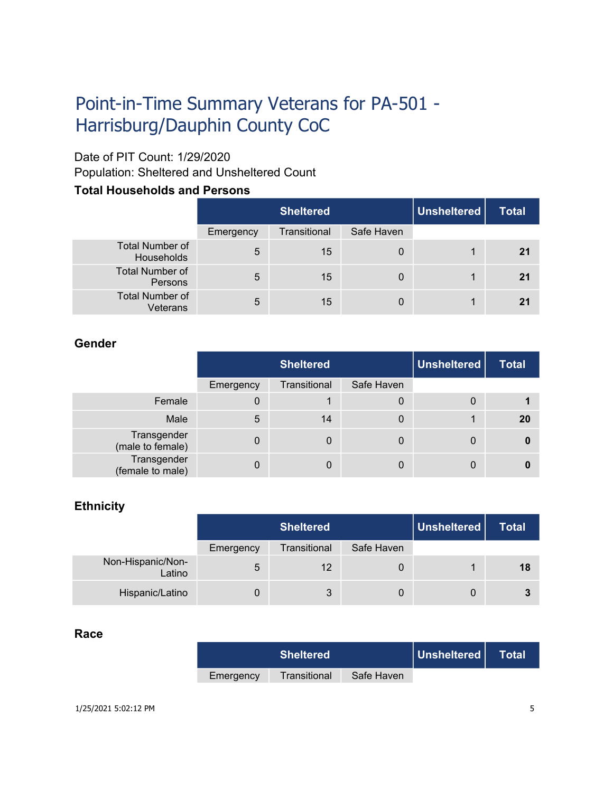# Point-in-Time Summary Veterans for PA-501 - Harrisburg/Dauphin County CoC

## Date of PIT Count: 1/29/2020

Population: Sheltered and Unsheltered Count

### **Total Households and Persons**

|                                      | <b>Sheltered</b> |              |            | Unsheltered | <b>Total</b> |
|--------------------------------------|------------------|--------------|------------|-------------|--------------|
|                                      | Emergency        | Transitional | Safe Haven |             |              |
| <b>Total Number of</b><br>Households | 5                | 15           | 0          | 1           | 21           |
| <b>Total Number of</b><br>Persons    | 5                | 15           | 0          | 1           | 21           |
| <b>Total Number of</b><br>Veterans   | 5                | 15           | 0          | 1           | 21           |

### **Gender**

|                                 | <b>Sheltered</b> |              |            | Unsheltered | <b>Total</b> |
|---------------------------------|------------------|--------------|------------|-------------|--------------|
|                                 | Emergency        | Transitional | Safe Haven |             |              |
| Female                          | 0                |              | 0          | 0           |              |
| Male                            | 5                | 14           | 0          |             | <b>20</b>    |
| Transgender<br>(male to female) | 0                | 0            | 0          | 0           | 0            |
| Transgender<br>(female to male) |                  | 0            | 0          | 0           |              |

### **Ethnicity**

|                             | <b>Sheltered</b> |              |            | Unsheltered | <b>Total</b> |
|-----------------------------|------------------|--------------|------------|-------------|--------------|
|                             | Emergency        | Transitional | Safe Haven |             |              |
| Non-Hispanic/Non-<br>Latino | 5                | 12           | 0          |             | 18           |
| Hispanic/Latino             |                  | 3            |            | 0           |              |

### **Race**

|           | <b>Sheltered</b> |            | Unsheltered | Total |
|-----------|------------------|------------|-------------|-------|
| Emergency | Transitional     | Safe Haven |             |       |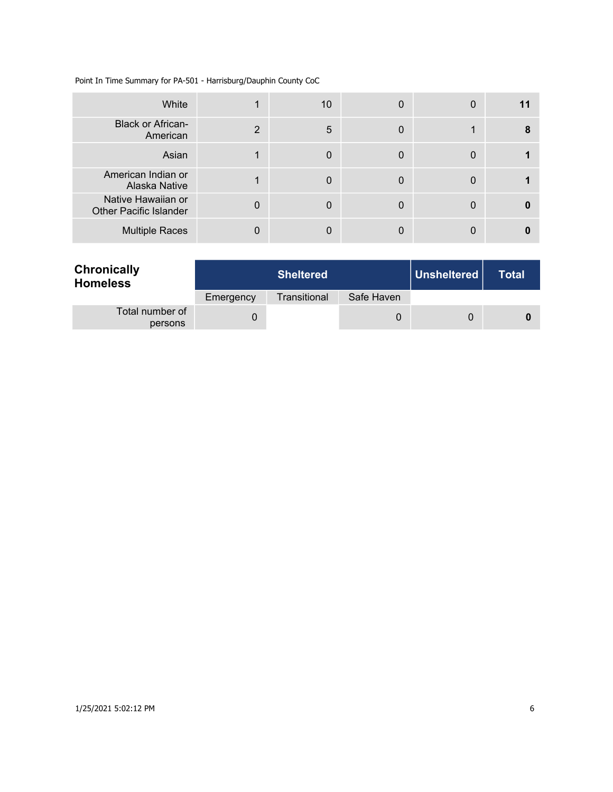#### Point In Time Summary for PA-501 - Harrisburg/Dauphin County CoC

| White                                               |                | 10 | 0 | 0 |   |
|-----------------------------------------------------|----------------|----|---|---|---|
| <b>Black or African-</b><br>American                | $\overline{2}$ | 5  | 0 |   | 8 |
| Asian                                               |                | 0  | 0 | 0 |   |
| American Indian or<br>Alaska Native                 |                | 0  | 0 | 0 |   |
| Native Hawaiian or<br><b>Other Pacific Islander</b> | 0              | 0  | 0 |   |   |
| <b>Multiple Races</b>                               |                |    |   |   |   |

| <b>Chronically</b><br><b>Homeless</b> |           | <b>Sheltered</b> |            |   | <b>Total</b> |
|---------------------------------------|-----------|------------------|------------|---|--------------|
|                                       | Emergency | Transitional     | Safe Haven |   |              |
| Total number of<br>persons            |           |                  | 0          | 0 |              |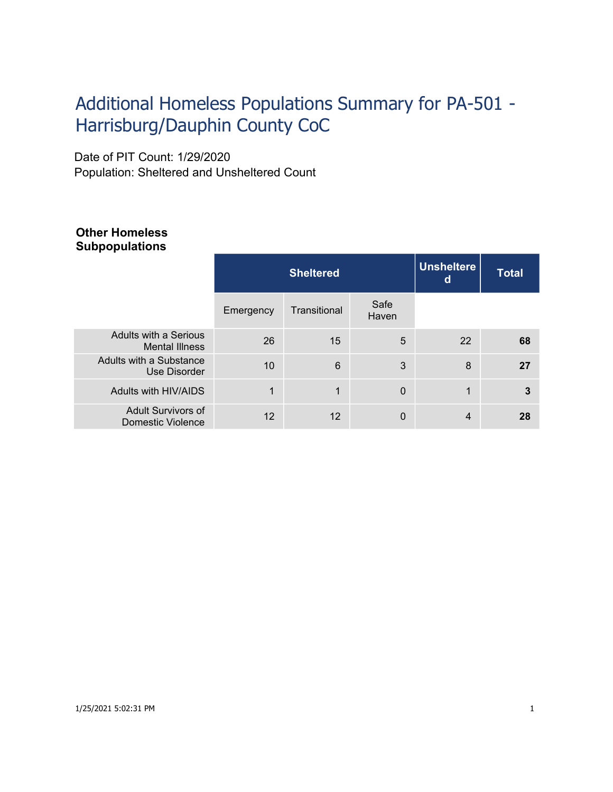# Additional Homeless Populations Summary for PA-501 - Harrisburg/Dauphin County CoC

Date of PIT Count: 1/29/2020 Population: Sheltered and Unsheltered Count

### **Other Homeless Subpopulations**

|                                                       |           | <b>Sheltered</b> | <b>Unsheltere</b><br>d | <b>Total</b> |    |
|-------------------------------------------------------|-----------|------------------|------------------------|--------------|----|
|                                                       | Emergency | Transitional     | Safe<br>Haven          |              |    |
| Adults with a Serious<br><b>Mental Illness</b>        | 26        | 15               | 5                      | 22           | 68 |
| Adults with a Substance<br>Use Disorder               | 10        | 6                | 3                      | 8            | 27 |
| Adults with HIV/AIDS                                  | 1         | 1                | $\Omega$               | 4            | 3  |
| <b>Adult Survivors of</b><br><b>Domestic Violence</b> | 12        | 12               | $\Omega$               | 4            | 28 |